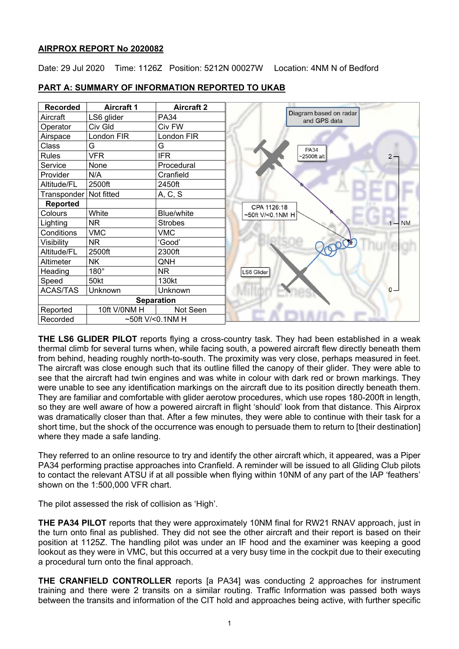# **AIRPROX REPORT No 2020082**

Date: 29 Jul 2020 Time: 1126Z Position: 5212N 00027W Location: 4NM N of Bedford



# **PART A: SUMMARY OF INFORMATION REPORTED TO UKAB**

**THE LS6 GLIDER PILOT** reports flying a cross-country task. They had been established in a weak thermal climb for several turns when, while facing south, a powered aircraft flew directly beneath them from behind, heading roughly north-to-south. The proximity was very close, perhaps measured in feet. The aircraft was close enough such that its outline filled the canopy of their glider. They were able to see that the aircraft had twin engines and was white in colour with dark red or brown markings. They were unable to see any identification markings on the aircraft due to its position directly beneath them. They are familiar and comfortable with glider aerotow procedures, which use ropes 180-200ft in length, so they are well aware of how a powered aircraft in flight 'should' look from that distance. This Airprox was dramatically closer than that. After a few minutes, they were able to continue with their task for a short time, but the shock of the occurrence was enough to persuade them to return to [their destination] where they made a safe landing.

They referred to an online resource to try and identify the other aircraft which, it appeared, was a Piper PA34 performing practise approaches into Cranfield. A reminder will be issued to all Gliding Club pilots to contact the relevant ATSU if at all possible when flying within 10NM of any part of the IAP 'feathers' shown on the 1:500,000 VFR chart.

The pilot assessed the risk of collision as 'High'.

**THE PA34 PILOT** reports that they were approximately 10NM final for RW21 RNAV approach, just in the turn onto final as published. They did not see the other aircraft and their report is based on their position at 1125Z. The handling pilot was under an IF hood and the examiner was keeping a good lookout as they were in VMC, but this occurred at a very busy time in the cockpit due to their executing a procedural turn onto the final approach.

**THE CRANFIELD CONTROLLER** reports [a PA34] was conducting 2 approaches for instrument training and there were 2 transits on a similar routing. Traffic Information was passed both ways between the transits and information of the CIT hold and approaches being active, with further specific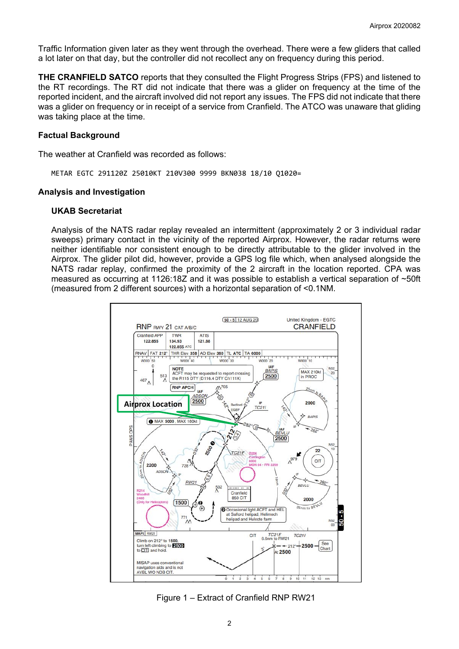Traffic Information given later as they went through the overhead. There were a few gliders that called a lot later on that day, but the controller did not recollect any on frequency during this period.

**THE CRANFIELD SATCO** reports that they consulted the Flight Progress Strips (FPS) and listened to the RT recordings. The RT did not indicate that there was a glider on frequency at the time of the reported incident, and the aircraft involved did not report any issues. The FPS did not indicate that there was a glider on frequency or in receipt of a service from Cranfield. The ATCO was unaware that gliding was taking place at the time.

#### **Factual Background**

The weather at Cranfield was recorded as follows:

METAR EGTC 291120Z 25010KT 210V300 9999 BKN038 18/10 Q1020=

#### **Analysis and Investigation**

#### **UKAB Secretariat**

Analysis of the NATS radar replay revealed an intermittent (approximately 2 or 3 individual radar sweeps) primary contact in the vicinity of the reported Airprox. However, the radar returns were neither identifiable nor consistent enough to be directly attributable to the glider involved in the Airprox. The glider pilot did, however, provide a GPS log file which, when analysed alongside the NATS radar replay, confirmed the proximity of the 2 aircraft in the location reported. CPA was measured as occurring at 1126:18Z and it was possible to establish a vertical separation of ~50ft (measured from 2 different sources) with a horizontal separation of <0.1NM.



Figure 1 – Extract of Cranfield RNP RW21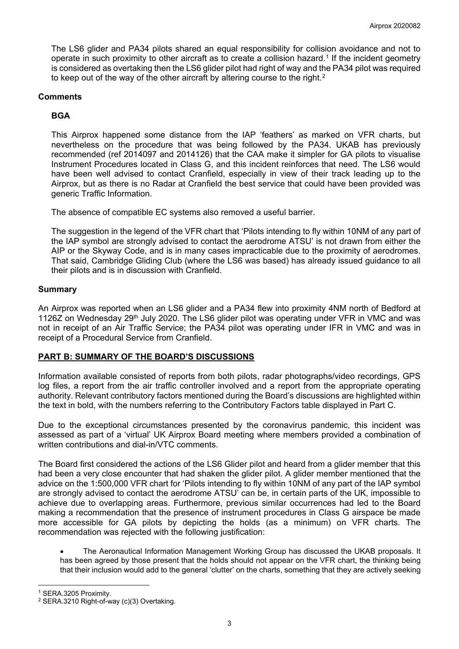The LS6 glider and PA34 pilots shared an equal responsibility for collision avoidance and not to operate in such proximity to other aircraft as to create a collision hazard.[1](#page-2-0) If the incident geometry is considered as overtaking then the LS6 glider pilot had right of way and the PA34 pilot was required to keep out of the way of the other aircraft by altering course to the right.<sup>[2](#page-2-1)</sup>

# **Comments**

# **BGA**

This Airprox happened some distance from the IAP 'feathers' as marked on VFR charts, but nevertheless on the procedure that was being followed by the PA34. UKAB has previously recommended (ref 2014097 and 2014126) that the CAA make it simpler for GA pilots to visualise Instrument Procedures located in Class G, and this incident reinforces that need. The LS6 would have been well advised to contact Cranfield, especially in view of their track leading up to the Airprox, but as there is no Radar at Cranfield the best service that could have been provided was generic Traffic Information.

The absence of compatible EC systems also removed a useful barrier.

The suggestion in the legend of the VFR chart that 'Pilots intending to fly within 10NM of any part of the IAP symbol are strongly advised to contact the aerodrome ATSU' is not drawn from either the AIP or the Skyway Code, and is in many cases impracticable due to the proximity of aerodromes. That said, Cambridge Gliding Club (where the LS6 was based) has already issued guidance to all their pilots and is in discussion with Cranfield.

### **Summary**

An Airprox was reported when an LS6 glider and a PA34 flew into proximity 4NM north of Bedford at 1126Z on Wednesday 29<sup>th</sup> July 2020. The LS6 glider pilot was operating under VFR in VMC and was not in receipt of an Air Traffic Service; the PA34 pilot was operating under IFR in VMC and was in receipt of a Procedural Service from Cranfield.

# **PART B: SUMMARY OF THE BOARD'S DISCUSSIONS**

Information available consisted of reports from both pilots, radar photographs/video recordings, GPS log files, a report from the air traffic controller involved and a report from the appropriate operating authority. Relevant contributory factors mentioned during the Board's discussions are highlighted within the text in bold, with the numbers referring to the Contributory Factors table displayed in Part C.

Due to the exceptional circumstances presented by the coronavirus pandemic, this incident was assessed as part of a 'virtual' UK Airprox Board meeting where members provided a combination of written contributions and dial-in/VTC comments.

The Board first considered the actions of the LS6 Glider pilot and heard from a glider member that this had been a very close encounter that had shaken the glider pilot. A glider member mentioned that the advice on the 1:500,000 VFR chart for 'Pilots intending to fly within 10NM of any part of the IAP symbol are strongly advised to contact the aerodrome ATSU' can be, in certain parts of the UK, impossible to achieve due to overlapping areas. Furthermore, previous similar occurrences had led to the Board making a recommendation that the presence of instrument procedures in Class G airspace be made more accessible for GA pilots by depicting the holds (as a minimum) on VFR charts. The recommendation was rejected with the following justification:

• The Aeronautical Information Management Working Group has discussed the UKAB proposals. It has been agreed by those present that the holds should not appear on the VFR chart, the thinking being that their inclusion would add to the general 'clutter' on the charts, something that they are actively seeking

<span id="page-2-0"></span><sup>1</sup> SERA.3205 Proximity.

<span id="page-2-1"></span><sup>&</sup>lt;sup>2</sup> SERA.3210 Right-of-way (c)(3) Overtaking.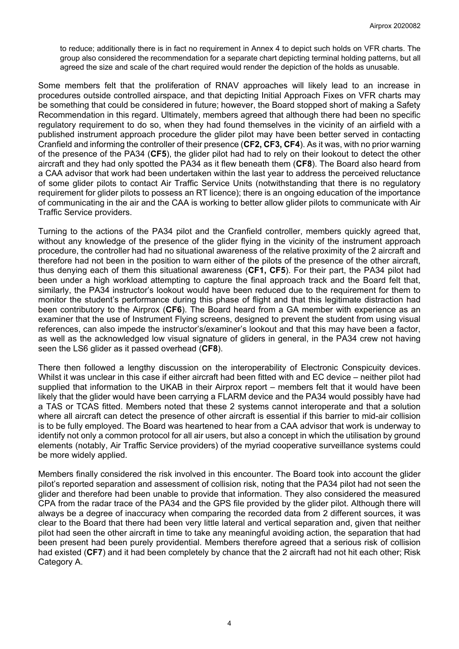to reduce; additionally there is in fact no requirement in Annex 4 to depict such holds on VFR charts. The group also considered the recommendation for a separate chart depicting terminal holding patterns, but all agreed the size and scale of the chart required would render the depiction of the holds as unusable.

Some members felt that the proliferation of RNAV approaches will likely lead to an increase in procedures outside controlled airspace, and that depicting Initial Approach Fixes on VFR charts may be something that could be considered in future; however, the Board stopped short of making a Safety Recommendation in this regard. Ultimately, members agreed that although there had been no specific regulatory requirement to do so, when they had found themselves in the vicinity of an airfield with a published instrument approach procedure the glider pilot may have been better served in contacting Cranfield and informing the controller of their presence (**CF2, CF3, CF4**). As it was, with no prior warning of the presence of the PA34 (**CF5**), the glider pilot had had to rely on their lookout to detect the other aircraft and they had only spotted the PA34 as it flew beneath them (**CF8**). The Board also heard from a CAA advisor that work had been undertaken within the last year to address the perceived reluctance of some glider pilots to contact Air Traffic Service Units (notwithstanding that there is no regulatory requirement for glider pilots to possess an RT licence); there is an ongoing education of the importance of communicating in the air and the CAA is working to better allow glider pilots to communicate with Air Traffic Service providers.

Turning to the actions of the PA34 pilot and the Cranfield controller, members quickly agreed that, without any knowledge of the presence of the glider flying in the vicinity of the instrument approach procedure, the controller had had no situational awareness of the relative proximity of the 2 aircraft and therefore had not been in the position to warn either of the pilots of the presence of the other aircraft, thus denying each of them this situational awareness (**CF1, CF5**). For their part, the PA34 pilot had been under a high workload attempting to capture the final approach track and the Board felt that, similarly, the PA34 instructor's lookout would have been reduced due to the requirement for them to monitor the student's performance during this phase of flight and that this legitimate distraction had been contributory to the Airprox (**CF6**). The Board heard from a GA member with experience as an examiner that the use of Instrument Flying screens, designed to prevent the student from using visual references, can also impede the instructor's/examiner's lookout and that this may have been a factor, as well as the acknowledged low visual signature of gliders in general, in the PA34 crew not having seen the LS6 glider as it passed overhead (**CF8**).

There then followed a lengthy discussion on the interoperability of Electronic Conspicuity devices. Whilst it was unclear in this case if either aircraft had been fitted with and EC device – neither pilot had supplied that information to the UKAB in their Airprox report – members felt that it would have been likely that the glider would have been carrying a FLARM device and the PA34 would possibly have had a TAS or TCAS fitted. Members noted that these 2 systems cannot interoperate and that a solution where all aircraft can detect the presence of other aircraft is essential if this barrier to mid-air collision is to be fully employed. The Board was heartened to hear from a CAA advisor that work is underway to identify not only a common protocol for all air users, but also a concept in which the utilisation by ground elements (notably, Air Traffic Service providers) of the myriad cooperative surveillance systems could be more widely applied.

Members finally considered the risk involved in this encounter. The Board took into account the glider pilot's reported separation and assessment of collision risk, noting that the PA34 pilot had not seen the glider and therefore had been unable to provide that information. They also considered the measured CPA from the radar trace of the PA34 and the GPS file provided by the glider pilot. Although there will always be a degree of inaccuracy when comparing the recorded data from 2 different sources, it was clear to the Board that there had been very little lateral and vertical separation and, given that neither pilot had seen the other aircraft in time to take any meaningful avoiding action, the separation that had been present had been purely providential. Members therefore agreed that a serious risk of collision had existed (**CF7**) and it had been completely by chance that the 2 aircraft had not hit each other; Risk Category A.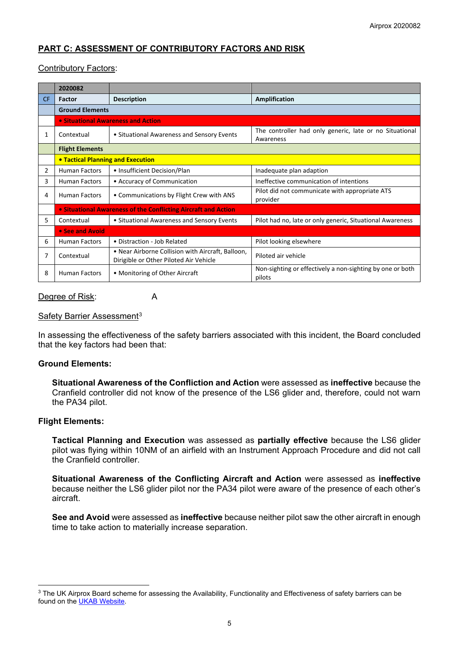# **PART C: ASSESSMENT OF CONTRIBUTORY FACTORS AND RISK**

# Contributory Factors:

|           | 2020082                                                        |                                                                                             |                                                                      |
|-----------|----------------------------------------------------------------|---------------------------------------------------------------------------------------------|----------------------------------------------------------------------|
| <b>CF</b> | Factor                                                         | <b>Description</b>                                                                          | Amplification                                                        |
|           | <b>Ground Elements</b>                                         |                                                                                             |                                                                      |
|           | • Situational Awareness and Action                             |                                                                                             |                                                                      |
| 1         | Contextual                                                     | • Situational Awareness and Sensory Events                                                  | The controller had only generic, late or no Situational<br>Awareness |
|           | <b>Flight Elements</b>                                         |                                                                                             |                                                                      |
|           | • Tactical Planning and Execution                              |                                                                                             |                                                                      |
| 2         | <b>Human Factors</b>                                           | • Insufficient Decision/Plan                                                                | Inadequate plan adaption                                             |
| 3         | <b>Human Factors</b>                                           | • Accuracy of Communication                                                                 | Ineffective communication of intentions                              |
| 4         | <b>Human Factors</b>                                           | • Communications by Flight Crew with ANS                                                    | Pilot did not communicate with appropriate ATS<br>provider           |
|           | • Situational Awareness of the Conflicting Aircraft and Action |                                                                                             |                                                                      |
| 5.        | Contextual                                                     | • Situational Awareness and Sensory Events                                                  | Pilot had no, late or only generic, Situational Awareness            |
|           | • See and Avoid                                                |                                                                                             |                                                                      |
| 6         | <b>Human Factors</b>                                           | • Distraction - Job Related                                                                 | Pilot looking elsewhere                                              |
|           | Contextual                                                     | . Near Airborne Collision with Aircraft, Balloon,<br>Dirigible or Other Piloted Air Vehicle | Piloted air vehicle                                                  |
| 8         | <b>Human Factors</b>                                           | • Monitoring of Other Aircraft                                                              | Non-sighting or effectively a non-sighting by one or both<br>pilots  |

#### Degree of Risk: A

### Safety Barrier Assessment<sup>[3](#page-4-0)</sup>

In assessing the effectiveness of the safety barriers associated with this incident, the Board concluded that the key factors had been that:

#### **Ground Elements:**

**Situational Awareness of the Confliction and Action** were assessed as **ineffective** because the Cranfield controller did not know of the presence of the LS6 glider and, therefore, could not warn the PA34 pilot.

#### **Flight Elements:**

**Tactical Planning and Execution** was assessed as **partially effective** because the LS6 glider pilot was flying within 10NM of an airfield with an Instrument Approach Procedure and did not call the Cranfield controller.

**Situational Awareness of the Conflicting Aircraft and Action** were assessed as **ineffective** because neither the LS6 glider pilot nor the PA34 pilot were aware of the presence of each other's aircraft.

**See and Avoid** were assessed as **ineffective** because neither pilot saw the other aircraft in enough time to take action to materially increase separation.

<span id="page-4-0"></span><sup>&</sup>lt;sup>3</sup> The UK Airprox Board scheme for assessing the Availability, Functionality and Effectiveness of safety barriers can be found on the [UKAB Website.](http://www.airproxboard.org.uk/Learn-more/Airprox-Barrier-Assessment/)